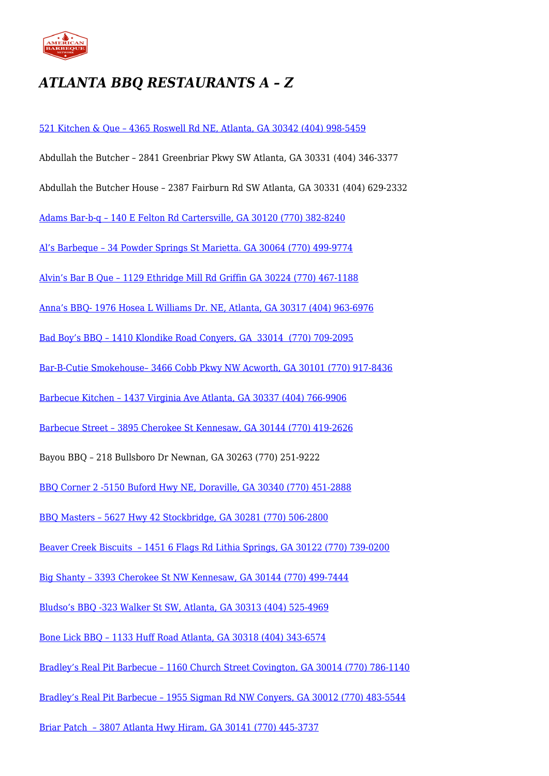

## *ATLANTA BBQ RESTAURANTS A – Z*

[521 Kitchen & Que – 4365 Roswell Rd NE, Atlanta, GA 30342 \(404\) 998-5459](http://521kitchenandque.com/atlanta-bbq-catering/)

- Abdullah the Butcher 2841 Greenbriar Pkwy SW Atlanta, GA 30331 (404) 346-3377
- Abdullah the Butcher House 2387 Fairburn Rd SW Atlanta, GA 30331 (404) 629-2332

[Adams Bar-b-q – 140 E Felton Rd Cartersville, GA 30120 \(770\) 382-8240](http://adamsbarbq.com/)

[Al's Barbeque – 34 Powder Springs St Marietta. GA 30064 \(770\) 499-9774](http://www.alsbarbeque.com/)

[Alvin's Bar B Que – 1129 Ethridge Mill Rd Griffin GA 30224 \(770\) 467-1188](https://www.facebook.com/Alvins-Bar-B-Que-Catering-184648431575967/)

[Anna's BBQ- 1976 Hosea L Williams Dr. NE, Atlanta, GA 30317 \(404\) 963-6976](http://www.annasbbqrestaurantatlanta.com/)

[Bad Boy's BBQ – 1410 Klondike Road Conyers, GA 33014 \(770\) 709-2095](http://badboysbbqconyers.com/)

[Bar-B-Cutie Smokehouse– 3466 Cobb Pkwy NW Acworth, GA 30101 \(770\) 917-8436](http://www.bar-b-cutie.com/)

[Barbecue Kitchen – 1437 Virginia Ave Atlanta, GA 30337 \(404\) 766-9906](https://www.facebook.com/barbecue.kitchen/)

[Barbecue Street – 3895 Cherokee St Kennesaw, GA 30144 \(770\) 419-2626](http://www.bbqstreet.com/)

Bayou BBQ – 218 Bullsboro Dr Newnan, GA 30263 (770) 251-9222

[BBQ Corner 2 -5150 Buford Hwy NE, Doraville, GA 30340 \(770\) 451-2888](http://www.bbqcorner2doraville.com/)

[BBQ Masters – 5627 Hwy 42 Stockbridge, GA 30281 \(770\) 506-2800](http://www.bbq-masters.com/)

[Beaver Creek Biscuits – 1451 6 Flags Rd Lithia Springs, GA 30122 \(770\) 739-0200](http://www.beavercreekbbq.net/)

[Big Shanty – 3393 Cherokee St NW Kennesaw, GA 30144 \(770\) 499-7444](http://bigshantybbq.com/)

[Bludso's BBQ -323 Walker St SW, Atlanta, GA 30313 \(404\) 525-4969](http://www.bludsosbbqatl.com/)

[Bone Lick BBQ – 1133 Huff Road Atlanta, GA 30318 \(404\) 343-6574](http://www.bonelickbarbecue.com/)

[Bradley's Real Pit Barbecue – 1160 Church Street Covington, GA 30014 \(770\) 786-1140](http://www.bradleysbbq.com/)

[Bradley's Real Pit Barbecue – 1955 Sigman Rd NW Conyers, GA 30012 \(770\) 483-5544](http://www.bradleysbbq.com/)

[Briar Patch – 3807 Atlanta Hwy Hiram, GA 30141 \(770\) 445-3737](http://briarpatchrestaurant.com/)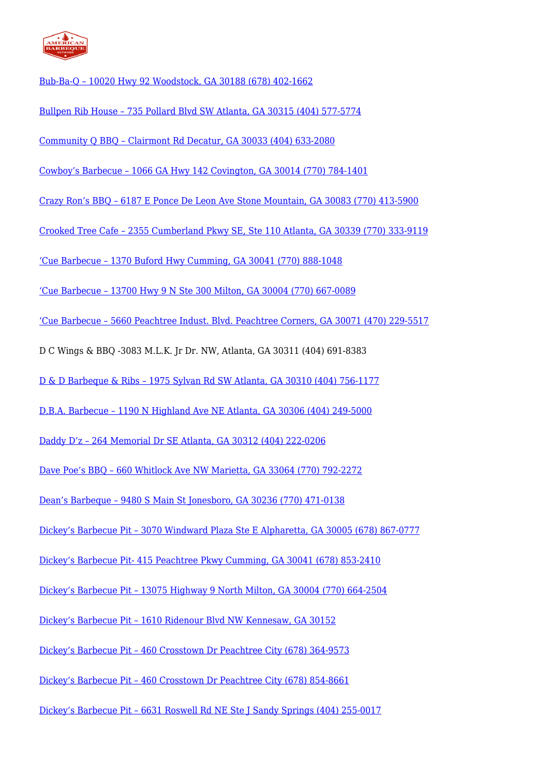

[Bub-Ba-Q – 10020 Hwy 92 Woodstock, GA 30188 \(678\) 402-1662](http://bub-ba-q.com/)

[Bullpen Rib House – 735 Pollard Blvd SW Atlanta, GA 30315 \(404\) 577-5774](http://www.killerribs.com/)

[Community Q BBQ – Clairmont Rd Decatur, GA 30033 \(404\) 633-2080](http://www.communityqbbq.com/)

[Cowboy's Barbecue – 1066 GA Hwy 142 Covington, GA 30014 \(770\) 784-1401](http://www.cowboys-bbq.com/)

[Crazy Ron's BBQ – 6187 E Ponce De Leon Ave Stone Mountain, GA 30083 \(770\) 413-5900](http://www.crazyronsbbq.com/Site/Home.html)

[Crooked Tree Cafe – 2355 Cumberland Pkwy SE, Ste 110 Atlanta, GA 30339 \(770\) 333-9119](http://crookedtreecafe.com/)

['Cue Barbecue – 1370 Buford Hwy Cumming, GA 30041 \(770\) 888-1048](http://www.cuebarbecue.com/index.php)

['Cue Barbecue – 13700 Hwy 9 N Ste 300 Milton, GA 30004 \(770\) 667-0089](http://www.cuebarbecue.com/index.php)

['Cue Barbecue – 5660 Peachtree Indust. Blvd. Peachtree Corners, GA 30071 \(470\) 229-5517](http://www.cuebarbecue.com/index.php)

D C Wings & BBQ -3083 M.L.K. Jr Dr. NW, Atlanta, GA 30311 (404) 691-8383

[D & D Barbeque & Ribs – 1975 Sylvan Rd SW Atlanta, GA 30310 \(404\) 756-1177](http://www.ddbbq.menu/index.html)

[D.B.A. Barbecue – 1190 N Highland Ave NE Atlanta, GA 30306 \(404\) 249-5000](http://www.dbabarbecue.com/)

[Daddy D'z – 264 Memorial Dr SE Atlanta, GA 30312 \(404\) 222-0206](http://www.daddydz.com/)

[Dave Poe's BBQ – 660 Whitlock Ave NW Marietta, GA 33064 \(770\) 792-2272](http://www.davepoes.com/)

[Dean's Barbeque – 9480 S Main St Jonesboro, GA 30236 \(770\) 471-0138](https://www.facebook.com/deansbbq/)

[Dickey's Barbecue Pit – 3070 Windward Plaza Ste E Alpharetta, GA 30005 \(678\) 867-0777](http://www.dickeys.com/)

[Dickey's Barbecue Pit- 415 Peachtree Pkwy Cumming, GA 30041 \(678\) 853-2410](http://www.dickeys.com/)

[Dickey's Barbecue Pit – 13075 Highway 9 North Milton, GA 30004 \(770\) 664-2504](http://www.dickeys.com/)

[Dickey's Barbecue Pit – 1610 Ridenour Blvd NW Kennesaw, GA 30152](http://www.dickeys.com/)

[Dickey's Barbecue Pit – 460 Crosstown Dr Peachtree City \(678\) 364-9573](http://www.dickeys.com/)

[Dickey's Barbecue Pit – 460 Crosstown Dr Peachtree City \(678\) 854-8661](http://www.dickeys.com/)

[Dickey's Barbecue Pit – 6631 Roswell Rd NE Ste J Sandy Springs \(404\) 255-0017](http://www.dickeys.com/)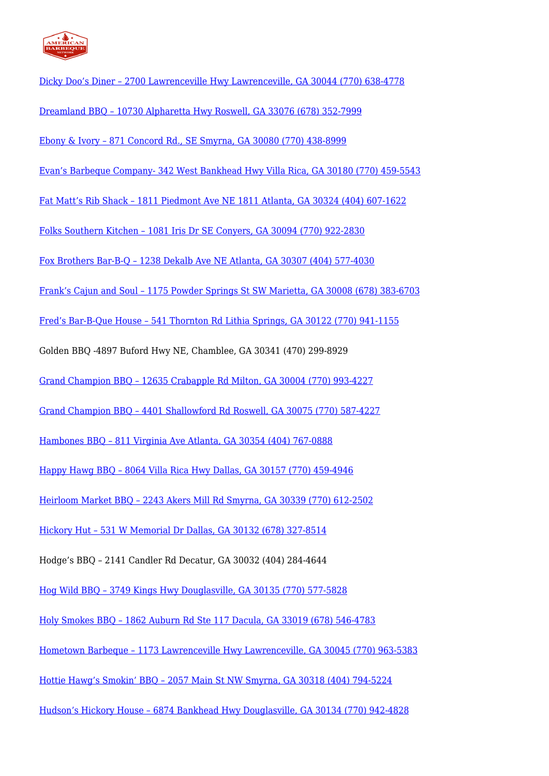

[Dicky Doo's Diner – 2700 Lawrenceville Hwy Lawrenceville, GA 30044 \(770\) 638-4778](https://www.facebook.com/Dicky-Doos-Diner-109264765774165/) [Dreamland BBQ – 10730 Alpharetta Hwy Roswell, GA 33076 \(678\) 352-7999](http://www.dreamlandbbq.com) [Ebony & Ivory – 871 Concord Rd., SE Smyrna, GA 30080 \(770\) 438-8999](http://ebonyivorysmyrna.net/) [Evan's Barbeque Company- 342 West Bankhead Hwy Villa Rica, GA 30180 \(770\) 459-5543](http://evansbarbequecompany.com/) [Fat Matt's Rib Shack – 1811 Piedmont Ave NE 1811 Atlanta, GA 30324 \(404\) 607-1622](http://www.fatmattsribshack.com/) [Folks Southern Kitchen – 1081 Iris Dr SE Conyers, GA 30094 \(770\) 922-2830](http://www.folkskitchen.com/) [Fox Brothers Bar-B-Q – 1238 Dekalb Ave NE Atlanta, GA 30307 \(404\) 577-4030](http://www.foxbrosbbq.com/) [Frank's Cajun and Soul – 1175 Powder Springs St SW Marietta, GA 30008 \(678\) 383-6703](http://www.frankscajunsoul.com/menu/) [Fred's Bar-B-Que House – 541 Thornton Rd Lithia Springs, GA 30122 \(770\) 941-1155](http://www.fredsbbqhouse.net/) Golden BBQ -4897 Buford Hwy NE, Chamblee, GA 30341 (470) 299-8929 [Grand Champion BBQ – 12635 Crabapple Rd Milton, GA 30004 \(770\) 993-4227](http://gcbbq.net/) [Grand Champion BBQ – 4401 Shallowford Rd Roswell, GA 30075 \(770\) 587-4227](http://gcbbq.net/) [Hambones BBQ – 811 Virginia Ave Atlanta, GA 30354 \(404\) 767-0888](http://hambones-bbq.com/home) [Happy Hawg BBQ – 8064 Villa Rica Hwy Dallas, GA 30157 \(770\) 459-4946](http://www.happyhawgbbq.com/) [Heirloom Market BBQ – 2243 Akers Mill Rd Smyrna, GA 30339 \(770\) 612-2502](http://www.heirloommarketbbq.com/) [Hickory Hut – 531 W Memorial Dr Dallas, GA 30132 \(678\) 327-8514](http://www.hickoryhutbbq.com/) Hodge's BBQ – 2141 Candler Rd Decatur, GA 30032 (404) 284-4644 [Hog Wild BBQ – 3749 Kings Hwy Douglasville, GA 30135 \(770\) 577-5828](http://hogwildbbq.wix.com/douglasville) [Holy Smokes BBQ – 1862 Auburn Rd Ste 117 Dacula, GA 33019 \(678\) 546-4783](http://www.holysmokes-bbq.com/) [Hometown Barbeque – 1173 Lawrenceville Hwy Lawrenceville, GA 30045 \(770\) 963-5383](http://www.hometownbarbeque.com/) [Hottie Hawg's Smokin' BBQ – 2057 Main St NW Smyrna, GA 30318 \(404\) 794-5224](http://hottiehawgsbbq.com/) [Hudson's Hickory House – 6874 Bankhead Hwy Douglasville, GA 30134 \(770\) 942-4828](https://www.facebook.com/Hudson-Hickory-House-Douglasville-Georgia-240871929890/)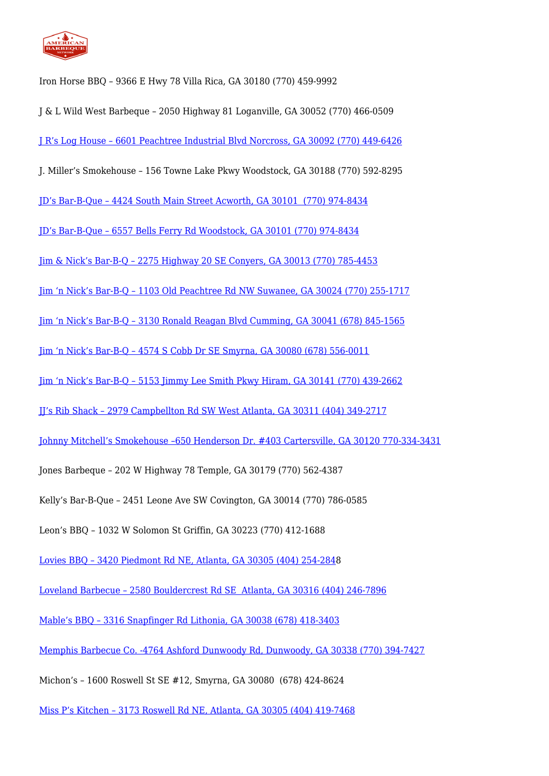

Iron Horse BBQ – 9366 E Hwy 78 Villa Rica, GA 30180 (770) 459-9992

- J & L Wild West Barbeque 2050 Highway 81 Loganville, GA 30052 (770) 466-0509
- [J R's Log House 6601 Peachtree Industrial Blvd Norcross, GA 30092 \(770\) 449-6426](http://www.jrsloghouse.com/)
- J. Miller's Smokehouse 156 Towne Lake Pkwy Woodstock, GA 30188 (770) 592-8295
- [JD's Bar-B-Que 4424 South Main Street Acworth, GA 30101 \(770\) 974-8434](http://www.jdsbbq.com/)
- [JD's Bar-B-Que 6557 Bells Ferry Rd Woodstock, GA 30101 \(770\) 974-8434](http://www.jdsbbq.com/)
- [Jim & Nick's Bar-B-Q 2275 Highway 20 SE Conyers, GA 30013 \(770\) 785-4453](http://www.jimnnicks.com/)
- [Jim 'n Nick's Bar-B-Q 1103 Old Peachtree Rd NW Suwanee, GA 30024 \(770\) 255-1717](http://www.jimnnicks.com/)
- [Jim 'n Nick's Bar-B-Q 3130 Ronald Reagan Blvd Cumming, GA 30041 \(678\) 845-1565](http://www.jimnnicks.com/)
- [Jim 'n Nick's Bar-B-Q 4574 S Cobb Dr SE Smyrna, GA 30080 \(678\) 556-0011](http://www.jimnnicks.com/)
- [Jim 'n Nick's Bar-B-Q 5153 Jimmy Lee Smith Pkwy Hiram, GA 30141 \(770\) 439-2662](http://www.jimnnicks.com/)
- [JJ's Rib Shack 2979 Campbellton Rd SW West Atlanta, GA 30311 \(404\) 349-2717](http://www.jjsribshack.com/)
- [Johnny Mitchell's Smokehouse –650 Henderson Dr. #403 Cartersville, GA 30120 770-334-3431](http://www.johnnymitchellssmokehouse.com/)
- Jones Barbeque 202 W Highway 78 Temple, GA 30179 (770) 562-4387
- Kelly's Bar-B-Que 2451 Leone Ave SW Covington, GA 30014 (770) 786-0585
- Leon's BBQ 1032 W Solomon St Griffin, GA 30223 (770) 412-1688
- [Lovies BBQ 3420 Piedmont Rd NE, Atlanta, GA 30305 \(404\) 254-284](#page--1-0)8
- [Loveland Barbecue 2580 Bouldercrest Rd SE Atlanta, GA 30316 \(404\) 246-7896](https://www.facebook.com/LovelandBBQincatl/)
- [Mable's BBQ 3316 Snapfinger Rd Lithonia, GA 30038 \(678\) 418-3403](http://www.mablesbbq.com/)
- [Memphis Barbecue Co. -4764 Ashford Dunwoody Rd, Dunwoody, GA 30338 \(770\) 394-7427](http://memphisbbqco.com/)
- Michon's 1600 Roswell St SE #12, Smyrna, GA 30080 (678) 424-8624
- [Miss P's Kitchen 3173 Roswell Rd NE, Atlanta, GA 30305 \(404\) 419-7468](http://www.misspskitchen.com/)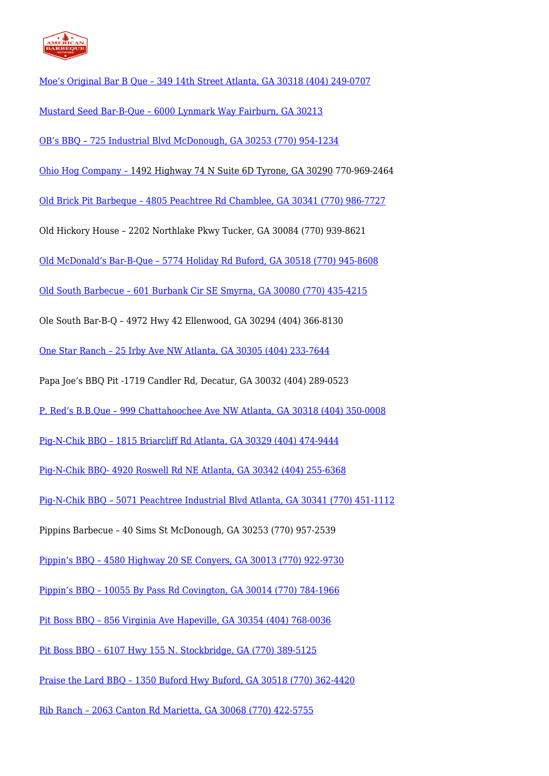

- [Moe's Original Bar B Que 349 14th Street Atlanta, GA 30318 \(404\) 249-0707](http://www.moesoriginalbbq.com/)
- [Mustard Seed Bar-B-Que 6000 Lynmark Way Fairburn, GA 30213](http://www.mustardseedbbq.com/)
- [OB's BBQ 725 Industrial Blvd McDonough, GA 30253 \(770\) 954-1234](http://www.obsbbq.com/home/)
- [Ohio Hog Company 1492 Highway 74 N Suite 6D Tyrone, GA 30290](http://www.ohiohogbbq.com/) 770-969-2464
- [Old Brick Pit Barbeque 4805 Peachtree Rd Chamblee, GA 30341 \(770\) 986-7727](http://www.oldbrickpitbbq.com/)
- Old Hickory House 2202 Northlake Pkwy Tucker, GA 30084 (770) 939-8621
- [Old McDonald's Bar-B-Que 5774 Holiday Rd Buford, GA 30518 \(770\) 945-8608](http://oldmcdonaldbbq.com/)
- [Old South Barbecue 601 Burbank Cir SE Smyrna, GA 30080 \(770\) 435-4215](http://www.oldsouthbbq.com/)
- Ole South Bar-B-Q 4972 Hwy 42 Ellenwood, GA 30294 (404) 366-8130
- [One Star Ranch 25 Irby Ave NW Atlanta, GA 30305 \(404\) 233-7644](http://www.onestarranch.com/index.php)
- Papa Joe's BBQ Pit -1719 Candler Rd, Decatur, GA 30032 (404) 289-0523
- [P. Red's B.B.Que 999 Chattahoochee Ave NW Atlanta, GA 30318 \(404\) 350-0008](http://www.redsbbque.com/)
- [Pig-N-Chik BBQ 1815 Briarcliff Rd Atlanta, GA 30329 \(404\) 474-9444](http://www.pignchik.net/index.html)
- [Pig-N-Chik BBQ- 4920 Roswell Rd NE Atlanta, GA 30342 \(404\) 255-6368](http://www.pignchik.net/index.html)
- [Pig-N-Chik BBQ 5071 Peachtree Industrial Blvd Atlanta, GA 30341 \(770\) 451-1112](http://www.pignchik.net/index.html)
- Pippins Barbecue 40 Sims St McDonough, GA 30253 (770) 957-2539
- [Pippin's BBQ 4580 Highway 20 SE Conyers, GA 30013 \(770\) 922-9730](http://pippinsbbq.com/home)
- [Pippin's BBQ 10055 By Pass Rd Covington, GA 30014 \(770\) 784-1966](http://pippinsbbq.com/home)
- [Pit Boss BBQ 856 Virginia Ave Hapeville, GA 30354 \(404\) 768-0036](http://www.pitboss-bbq.com/)
- [Pit Boss BBQ 6107 Hwy 155 N. Stockbridge, GA \(770\) 389-5125](http://www.pitboss-bbq.com/)
- [Praise the Lard BBQ 1350 Buford Hwy Buford, GA 30518 \(770\) 362-4420](http://praisethelardbbq.com/)
- [Rib Ranch 2063 Canton Rd Marietta, GA 30068 \(770\) 422-5755](http://www.theribranch.com/)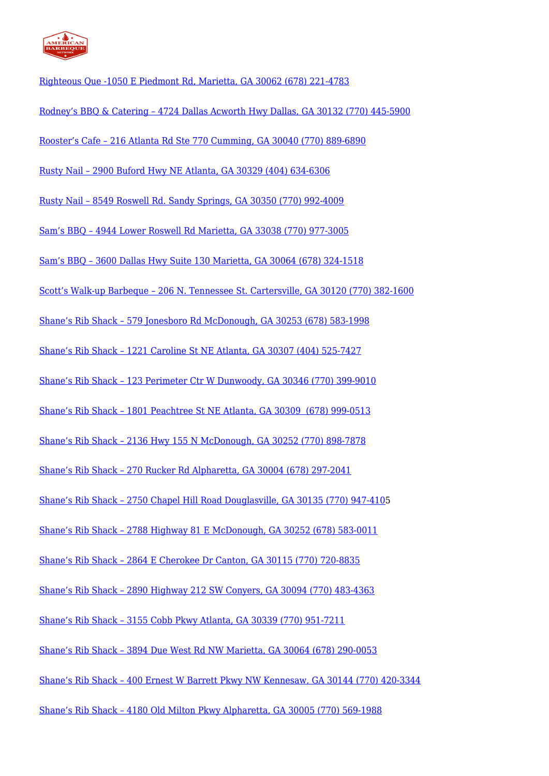

[Righteous Que -1050 E Piedmont Rd, Marietta, GA 30062 \(678\) 221-4783](http://www.righteousque.com/) [Rodney's BBQ & Catering – 4724 Dallas Acworth Hwy Dallas, GA 30132 \(770\) 445-5900](http://www.rodneysbbqandcatering.com/) [Rooster's Cafe – 216 Atlanta Rd Ste 770 Cumming, GA 30040 \(770\) 889-6890](http://www.roosterscafe.net/) [Rusty Nail – 2900 Buford Hwy NE Atlanta, GA 30329 \(404\) 634-6306](http://www.rustynailpub.com/) [Rusty Nail – 8549 Roswell Rd. Sandy Springs, GA 30350 \(770\) 992-4009](http://www.rustynailpub.com/) [Sam's BBQ – 4944 Lower Roswell Rd Marietta, GA 33038 \(770\) 977-3005](http://www.bbq1.net/) [Sam's BBQ – 3600 Dallas Hwy Suite 130 Marietta, GA 30064 \(678\) 324-1518](http://www.bbq1.net/) [Scott's Walk-up Barbeque – 206 N. Tennessee St. Cartersville, GA 30120 \(770\) 382-1600](http://www.scottswalkupbbq.com/) [Shane's Rib Shack – 579 Jonesboro Rd McDonough, GA 30253 \(678\) 583-1998](http://www.shanesribshack.com/) [Shane's Rib Shack – 1221 Caroline St NE Atlanta, GA 30307 \(404\) 525-7427](http://www.shanesribshack.com/) [Shane's Rib Shack – 123 Perimeter Ctr W Dunwoody, GA 30346 \(770\) 399-9010](http://www.shanesribshack.com/) [Shane's Rib Shack – 1801 Peachtree St NE Atlanta, GA 30309 \(678\) 999-0513](http://www.shanesribshack.com/) [Shane's Rib Shack – 2136 Hwy 155 N McDonough, GA 30252 \(770\) 898-7878](http://www.shanesribshack.com/) [Shane's Rib Shack – 270 Rucker Rd Alpharetta, GA 30004 \(678\) 297-2041](http://www.shanesribshack.com/) [Shane's Rib Shack – 2750 Chapel Hill Road Douglasville, GA 30135 \(770\) 947-4105](http://www.shanesribshack.com/) [Shane's Rib Shack – 2788 Highway 81 E McDonough, GA 30252 \(678\) 583-0011](http://www.shanesribshack.com/) [Shane's Rib Shack – 2864 E Cherokee Dr Canton, GA 30115 \(770\) 720-8835](http://www.shanesribshack.com/) [Shane's Rib Shack – 2890 Highway 212 SW Conyers, GA 30094 \(770\) 483-4363](http://www.shanesribshack.com/) [Shane's Rib Shack – 3155 Cobb Pkwy Atlanta, GA 30339 \(770\) 951-7211](http://www.shanesribshack.com/) [Shane's Rib Shack – 3894 Due West Rd NW Marietta, GA 30064 \(678\) 290-0053](http://www.shanesribshack.com/) [Shane's Rib Shack – 400 Ernest W Barrett Pkwy NW Kennesaw, GA 30144 \(770\) 420-3344](http://www.shanesribshack.com/) [Shane's Rib Shack – 4180 Old Milton Pkwy Alpharetta, GA 30005 \(770\) 569-1988](http://www.shanesribshack.com/)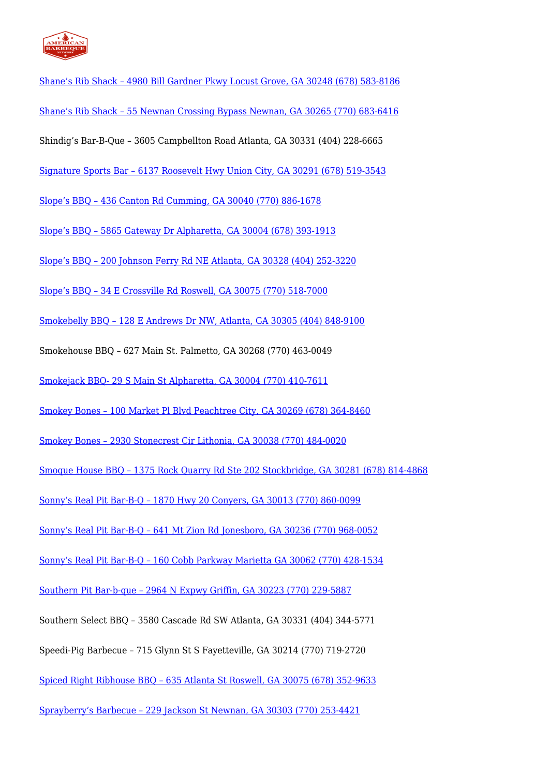

[Shane's Rib Shack – 4980 Bill Gardner Pkwy Locust Grove, GA 30248 \(678\) 583-8186](http://www.shanesribshack.com/) [Shane's Rib Shack – 55 Newnan Crossing Bypass Newnan, GA 30265 \(770\) 683-6416](http://www.shanesribshack.com/) Shindig's Bar-B-Que – 3605 Campbellton Road Atlanta, GA 30331 (404) 228-6665 [Signature Sports Bar – 6137 Roosevelt Hwy Union City, GA 30291 \(678\) 519-3543](http://www.signaturesportsbarandgrill.com/2222.html) [Slope's BBQ – 436 Canton Rd Cumming, GA 30040 \(770\) 886-1678](http://www.slopesbbq.com/) [Slope's BBQ – 5865 Gateway Dr Alpharetta, GA 30004 \(678\) 393-1913](http://www.slopesbbq.com/) [Slope's BBQ – 200 Johnson Ferry Rd NE Atlanta, GA 30328 \(404\) 252-3220](http://www.slopesbbq.com/) [Slope's BBQ – 34 E Crossville Rd Roswell, GA 30075 \(770\) 518-7000](http://www.slopesbbq.com/) [Smokebelly BBQ – 128 E Andrews Dr NW, Atlanta, GA 30305 \(404\) 848-9100](http://smokebellybbq.com/) Smokehouse BBQ – 627 Main St. Palmetto, GA 30268 (770) 463-0049 [Smokejack BBQ- 29 S Main St Alpharetta, GA 30004 \(770\) 410-7611](http://www.smokejackbbq.com/) [Smokey Bones – 100 Market Pl Blvd Peachtree City, GA 30269 \(678\) 364-8460](http://www.smokeybones.com/) [Smokey Bones – 2930 Stonecrest Cir Lithonia, GA 30038 \(770\) 484-0020](http://www.smokeybones.com/) [Smoque House BBQ – 1375 Rock Quarry Rd Ste 202 Stockbridge, GA 30281 \(678\) 814-4868](http://www.smoquehousebbq.com/) [Sonny's Real Pit Bar-B-Q – 1870 Hwy 20 Conyers, GA 30013 \(770\) 860-0099](http://www.sonnysbbq.com/) [Sonny's Real Pit Bar-B-Q – 641 Mt Zion Rd Jonesboro, GA 30236 \(770\) 968-0052](http://www.sonnysbbq.com/) [Sonny's Real Pit Bar-B-Q – 160 Cobb Parkway Marietta GA 30062 \(770\) 428-1534](http://www.sonnysbbq.com/) [Southern Pit Bar-b-que – 2964 N Expwy Griffin, GA 30223 \(770\) 229-5887](http://www.southernpitbbq.com/index.php) Southern Select BBQ – 3580 Cascade Rd SW Atlanta, GA 30331 (404) 344-5771 Speedi-Pig Barbecue – 715 Glynn St S Fayetteville, GA 30214 (770) 719-2720 [Spiced Right Ribhouse BBQ – 635 Atlanta St Roswell, GA 30075 \(678\) 352-9633](http://www.spicedright.com/) [Sprayberry's Barbecue – 229 Jackson St Newnan, GA 30303 \(770\) 253-4421](http://www.sprayberrysbbq.com/index.htm)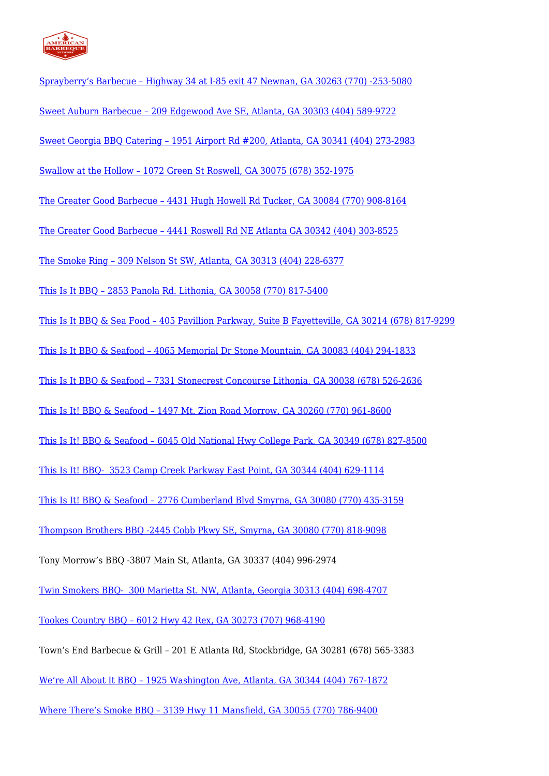

| Sprayberry's Barbecue - Highway 34 at I-85 exit 47 Newnan, GA 30263 (770) -253-5080                         |
|-------------------------------------------------------------------------------------------------------------|
| Sweet Auburn Barbecue - 209 Edgewood Ave SE, Atlanta, GA 30303 (404) 589-9722                               |
| Sweet Georgia BBQ Catering - 1951 Airport Rd #200, Atlanta, GA 30341 (404) 273-2983                         |
| Swallow at the Hollow - 1072 Green St Roswell, GA 30075 (678) 352-1975                                      |
| The Greater Good Barbecue - 4431 Hugh Howell Rd Tucker, GA 30084 (770) 908-8164                             |
| The Greater Good Barbecue - 4441 Roswell Rd NE Atlanta GA 30342 (404) 303-8525                              |
| The Smoke Ring - 309 Nelson St SW, Atlanta, GA 30313 (404) 228-6377                                         |
| This Is It BBQ - 2853 Panola Rd. Lithonia, GA 30058 (770) 817-5400                                          |
| <u>This Is It BBQ &amp; Sea Food - 405 Pavillion Parkway, Suite B Fayetteville, GA 30214 (678) 817-9299</u> |
| This Is It BBQ & Seafood - 4065 Memorial Dr Stone Mountain, GA 30083 (404) 294-1833                         |
| <u> This Is It BBQ &amp; Seafood - 7331 Stonecrest Concourse Lithonia, GA 30038 (678) 526-2636</u>          |
| This Is It! BBQ & Seafood - 1497 Mt. Zion Road Morrow, GA 30260 (770) 961-8600                              |
| This Is It! BBQ & Seafood - 6045 Old National Hwy College Park, GA 30349 (678) 827-8500                     |
| This Is It! BBQ- 3523 Camp Creek Parkway East Point, GA 30344 (404) 629-1114                                |
| This Is It! BBQ & Seafood - 2776 Cumberland Blvd Smyrna, GA 30080 (770) 435-3159                            |
| Thompson Brothers BBQ -2445 Cobb Pkwy SE, Smyrna, GA 30080 (770) 818-9098                                   |
| Tony Morrow's BBQ -3807 Main St, Atlanta, GA 30337 (404) 996-2974                                           |
| <u>Twin Smokers BBQ- 300 Marietta St. NW, Atlanta, Georgia 30313 (404) 698-4707</u>                         |
| Tookes Country BBQ - 6012 Hwy 42 Rex, GA 30273 (707) 968-4190                                               |
| Town's End Barbecue & Grill - 201 E Atlanta Rd, Stockbridge, GA 30281 (678) 565-3383                        |
| <u>We're All About It BBQ - 1925 Washington Ave, Atlanta, GA 30344 (404) 767-1872</u>                       |

[Where There's Smoke BBQ – 3139 Hwy 11 Mansfield, GA 30055 \(770\) 786-9400](http://www.wtsbbq.com/)